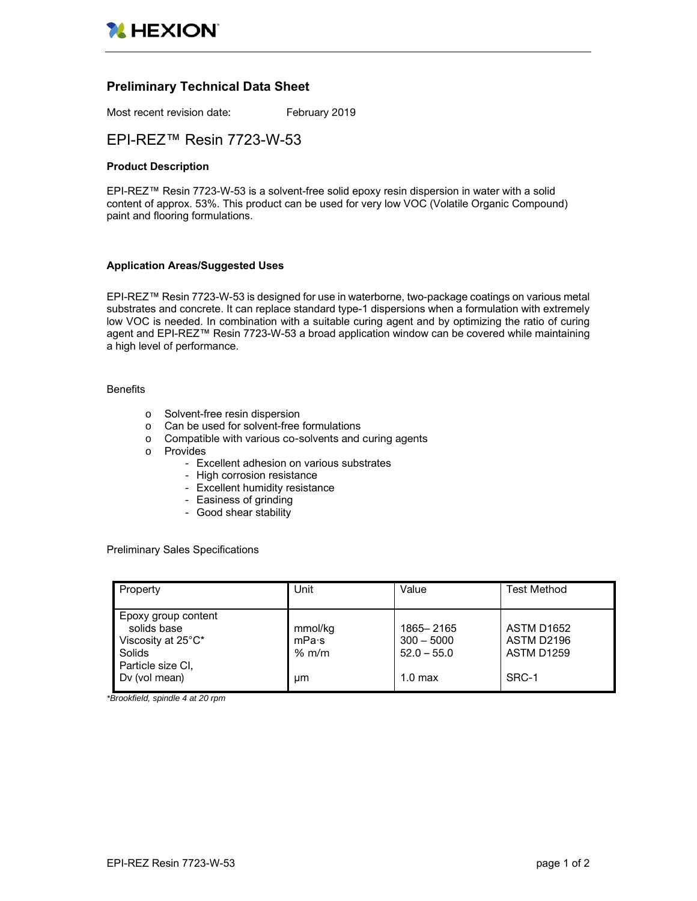

# **Preliminary Technical Data Sheet**

Most recent revision date: February 2019

# EPI-REZ™ Resin 7723-W-53

#### **Product Description**

EPI-REZ™ Resin 7723-W-53 is a solvent-free solid epoxy resin dispersion in water with a solid content of approx. 53%. This product can be used for very low VOC (Volatile Organic Compound) paint and flooring formulations.

### **Application Areas/Suggested Uses**

EPI-REZ™ Resin 7723-W-53 is designed for use in waterborne, two-package coatings on various metal substrates and concrete. It can replace standard type-1 dispersions when a formulation with extremely low VOC is needed. In combination with a suitable curing agent and by optimizing the ratio of curing agent and EPI-REZ™ Resin 7723-W-53 a broad application window can be covered while maintaining a high level of performance.

#### **Benefits**

- o Solvent-free resin dispersion
- o Can be used for solvent-free formulations
- o Compatible with various co-solvents and curing agents
- o Provides
	- Excellent adhesion on various substrates
	- High corrosion resistance
	- Excellent humidity resistance
	- Easiness of grinding
	- Good shear stability

Preliminary Sales Specifications

| Property                                                                                                 | Unit                              | Value                                                            | Test Method                                                   |
|----------------------------------------------------------------------------------------------------------|-----------------------------------|------------------------------------------------------------------|---------------------------------------------------------------|
| Epoxy group content<br>solids base<br>Viscosity at 25°C*<br>Solids<br>Particle size CI,<br>Dv (vol mean) | mmol/kg<br>mPa·s<br>$%$ m/m<br>um | 1865-2165<br>$300 - 5000$<br>$52.0 - 55.0$<br>1.0 <sub>max</sub> | <b>ASTM D1652</b><br>ASTM D2196<br><b>ASTM D1259</b><br>SRC-1 |

*\*Brookfield, spindle 4 at 20 rpm*